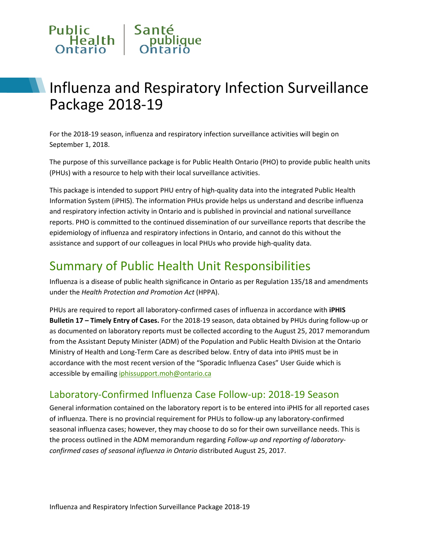# Public Santé<br>
Health publique

# Influenza and Respiratory Infection Surveillance Package 2018-19

For the 2018-19 season, influenza and respiratory infection surveillance activities will begin on September 1, 2018.

The purpose of this surveillance package is for Public Health Ontario (PHO) to provide public health units (PHUs) with a resource to help with their local surveillance activities.

This package is intended to support PHU entry of high-quality data into the integrated Public Health Information System (iPHIS). The information PHUs provide helps us understand and describe influenza and respiratory infection activity in Ontario and is published in provincial and national surveillance reports. PHO is committed to the continued dissemination of our surveillance reports that describe the epidemiology of influenza and respiratory infections in Ontario, and cannot do this without the assistance and support of our colleagues in local PHUs who provide high-quality data.

# Summary of Public Health Unit Responsibilities

Influenza is a disease of public health significance in Ontario as per Regulation 135/18 and amendments under the *Health Protection and Promotion Act* (HPPA).

PHUs are required to report all laboratory-confirmed cases of influenza in accordance with **iPHIS Bulletin 17 – Timely Entry of Cases.** For the 2018-19 season, data obtained by PHUs during follow-up or as documented on laboratory reports must be collected according to the August 25, 2017 memorandum from the Assistant Deputy Minister (ADM) of the Population and Public Health Division at the Ontario Ministry of Health and Long-Term Care as described below. Entry of data into iPHIS must be in accordance with the most recent version of the "Sporadic Influenza Cases" User Guide which is accessible by emailing [iphissupport.moh@ontario.ca](mailto:iphissupport.moh@ontario.ca)

## Laboratory-Confirmed Influenza Case Follow-up: 2018-19 Season

General information contained on the laboratory report is to be entered into iPHIS for all reported cases of influenza. There is no provincial requirement for PHUs to follow-up any laboratory-confirmed seasonal influenza cases; however, they may choose to do so for their own surveillance needs. This is the process outlined in the ADM memorandum regarding *Follow-up and reporting of laboratoryconfirmed cases of seasonal influenza in Ontario* distributed August 25, 2017.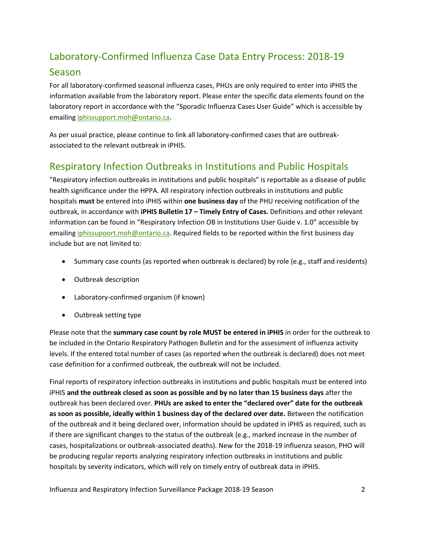# Laboratory-Confirmed Influenza Case Data Entry Process: 2018-19

### Season

For all laboratory-confirmed seasonal influenza cases, PHUs are only required to enter into iPHIS the information available from the laboratory report. Please enter the specific data elements found on the laboratory report in accordance with the "Sporadic Influenza Cases User Guide" which is accessible by emailin[g iphissupport.moh@ontario.ca.](mailto:iphissupport.moh@ontario.ca)

As per usual practice, please continue to link all laboratory-confirmed cases that are outbreakassociated to the relevant outbreak in iPHIS.

# Respiratory Infection Outbreaks in Institutions and Public Hospitals

"Respiratory infection outbreaks in institutions and public hospitals" is reportable as a disease of public health significance under the HPPA. All respiratory infection outbreaks in institutions and public hospitals **must** be entered into iPHIS within **one business day** of the PHU receiving notification of the outbreak, in accordance with **iPHIS Bulletin 17 – Timely Entry of Cases.** Definitions and other relevant information can be found in "Respiratory Infection OB in Institutions User Guide v. 1.0" accessible by emailing *iphissupoort.moh@ontario.ca*. Required fields to be reported within the first business day include but are not limited to:

- Summary case counts (as reported when outbreak is declared) by role (e.g., staff and residents)
- Outbreak description
- Laboratory-confirmed organism (if known)
- Outbreak setting type

Please note that the **summary case count by role MUST be entered in iPHIS** in order for the outbreak to be included in the Ontario Respiratory Pathogen Bulletin and for the assessment of influenza activity levels. If the entered total number of cases (as reported when the outbreak is declared) does not meet case definition for a confirmed outbreak, the outbreak will not be included.

Final reports of respiratory infection outbreaks in institutions and public hospitals must be entered into iPHIS **and the outbreak closed as soon as possible and by no later than 15 business days** after the outbreak has been declared over. **PHUs are asked to enter the "declared over" date for the outbreak as soon as possible, ideally within 1 business day of the declared over date.** Between the notification of the outbreak and it being declared over, information should be updated in iPHIS as required, such as if there are significant changes to the status of the outbreak (e.g., marked increase in the number of cases, hospitalizations or outbreak-associated deaths). New for the 2018-19 influenza season, PHO will be producing regular reports analyzing respiratory infection outbreaks in institutions and public hospitals by severity indicators, which will rely on timely entry of outbreak data in iPHIS.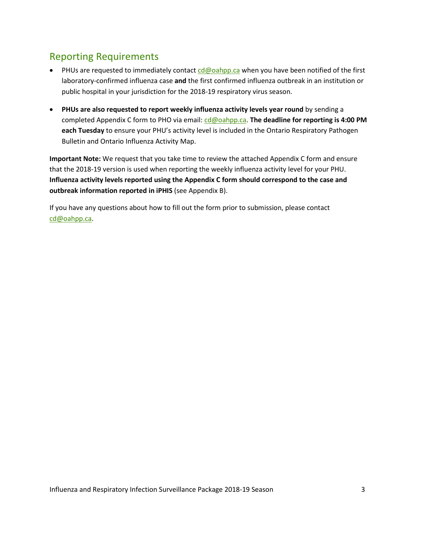# Reporting Requirements

- PHUs are requested to immediately contac[t cd@oahpp.ca](mailto:cd@oahpp.ca) when you have been notified of the first laboratory-confirmed influenza case **and** the first confirmed influenza outbreak in an institution or public hospital in your jurisdiction for the 2018-19 respiratory virus season.
- **PHUs are also requested to report weekly influenza activity levels year round** by sending a completed Appendix C form to PHO via email: [cd@oahpp.ca.](mailto:cd@oahpp.ca) The deadline for reporting is 4:00 PM **each Tuesday** to ensure your PHU's activity level is included in the Ontario Respiratory Pathogen Bulletin and Ontario Influenza Activity Map.

**Important Note:** We request that you take time to review the attached Appendix C form and ensure that the 2018-19 version is used when reporting the weekly influenza activity level for your PHU. **Influenza activity levels reported using the Appendix C form should correspond to the case and outbreak information reported in iPHIS** (see Appendix B).

If you have any questions about how to fill out the form prior to submission, please contact [cd@oahpp.ca.](mailto:cd@oahpp.ca)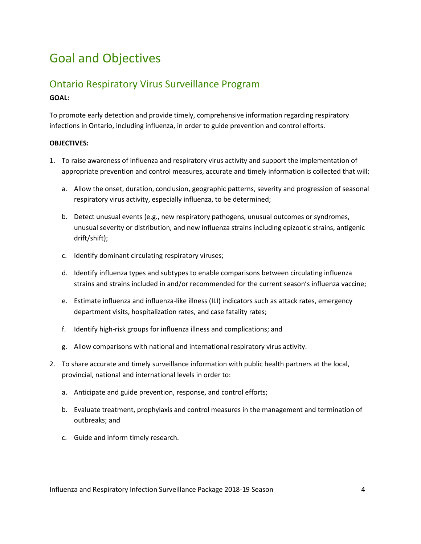# Goal and Objectives

## Ontario Respiratory Virus Surveillance Program **GOAL:**

To promote early detection and provide timely, comprehensive information regarding respiratory infections in Ontario, including influenza, in order to guide prevention and control efforts.

#### **OBJECTIVES:**

- 1. To raise awareness of influenza and respiratory virus activity and support the implementation of appropriate prevention and control measures, accurate and timely information is collected that will:
	- a. Allow the onset, duration, conclusion, geographic patterns, severity and progression of seasonal respiratory virus activity, especially influenza, to be determined;
	- b. Detect unusual events (e.g., new respiratory pathogens, unusual outcomes or syndromes, unusual severity or distribution, and new influenza strains including epizootic strains, antigenic drift/shift);
	- c. Identify dominant circulating respiratory viruses;
	- d. Identify influenza types and subtypes to enable comparisons between circulating influenza strains and strains included in and/or recommended for the current season's influenza vaccine;
	- e. Estimate influenza and influenza-like illness (ILI) indicators such as attack rates, emergency department visits, hospitalization rates, and case fatality rates;
	- f. Identify high-risk groups for influenza illness and complications; and
	- g. Allow comparisons with national and international respiratory virus activity.
- 2. To share accurate and timely surveillance information with public health partners at the local, provincial, national and international levels in order to:
	- a. Anticipate and guide prevention, response, and control efforts;
	- b. Evaluate treatment, prophylaxis and control measures in the management and termination of outbreaks; and
	- c. Guide and inform timely research.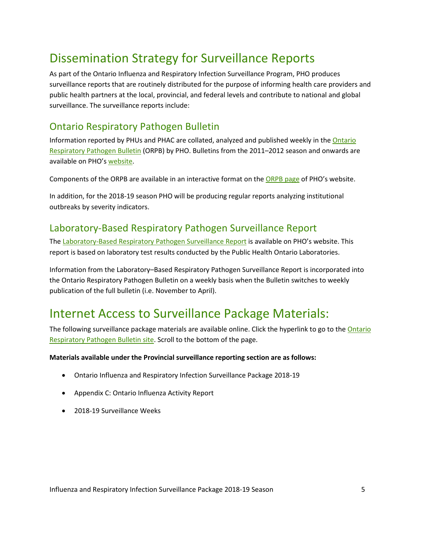# Dissemination Strategy for Surveillance Reports

As part of the Ontario Influenza and Respiratory Infection Surveillance Program, PHO produces surveillance reports that are routinely distributed for the purpose of informing health care providers and public health partners at the local, provincial, and federal levels and contribute to national and global surveillance. The surveillance reports include:

# Ontario Respiratory Pathogen Bulletin

Information reported by PHUs and PHAC are collated, analyzed and published weekly in th[e Ontario](http://www.publichealthontario.ca/en/ServicesAndTools/SurveillanceServices/Pages/Ontario-Respiratory-Virus-Bulletin.aspx)  [Respiratory Pathogen Bulletin](http://www.publichealthontario.ca/en/ServicesAndTools/SurveillanceServices/Pages/Ontario-Respiratory-Virus-Bulletin.aspx) (ORPB) by PHO. Bulletins from the 2011–2012 season and onwards are available on PHO'[s website.](https://secure.publichealthontario.ca/en/DataAndAnalytics/Pages/Archives-Bulletins-Maps.aspx)

Components of the ORPB are available in an interactive format on th[e ORPB page](https://secure.publichealthontario.ca/en/ServicesAndTools/SurveillanceServices/Pages/Ontario-Respiratory-Virus-Bulletin.aspx) of PHO's website.

In addition, for the 2018-19 season PHO will be producing regular reports analyzing institutional outbreaks by severity indicators.

## Laboratory-Based Respiratory Pathogen Surveillance Report

The [Laboratory-Based Respiratory Pathogen Surveillance Report](http://www.publichealthontario.ca/en/ServicesAndTools/LaboratoryServices/Pages/PHO-Laboratories-surveillance-updates.aspx) is available on PHO's website. This report is based on laboratory test results conducted by the Public Health Ontario Laboratories.

Information from the Laboratory–Based Respiratory Pathogen Surveillance Report is incorporated into the Ontario Respiratory Pathogen Bulletin on a weekly basis when the Bulletin switches to weekly publication of the full bulletin (i.e. November to April).

# Internet Access to Surveillance Package Materials:

The following surveillance package materials are available online. Click the hyperlink to go to the Ontario [Respiratory Pathogen Bulletin site.](http://www.publichealthontario.ca/en/ServicesAndTools/SurveillanceServices/Pages/Ontario-Respiratory-Virus-Bulletin.aspx) Scroll to the bottom of the page.

**Materials available under the Provincial surveillance reporting section are as follows:**

- Ontario Influenza and Respiratory Infection Surveillance Package 2018-19
- Appendix C: Ontario Influenza Activity Report
- 2018-19 Surveillance Weeks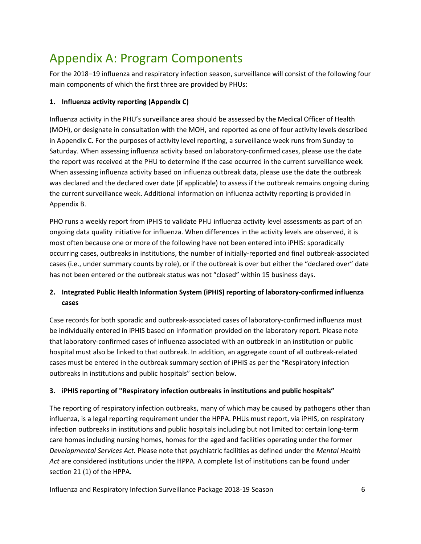# Appendix A: Program Components

For the 2018–19 influenza and respiratory infection season, surveillance will consist of the following four main components of which the first three are provided by PHUs:

#### **1. Influenza activity reporting (Appendix C)**

Influenza activity in the PHU's surveillance area should be assessed by the Medical Officer of Health (MOH), or designate in consultation with the MOH, and reported as one of four activity levels described in Appendix C. For the purposes of activity level reporting, a surveillance week runs from Sunday to Saturday. When assessing influenza activity based on laboratory-confirmed cases, please use the date the report was received at the PHU to determine if the case occurred in the current surveillance week. When assessing influenza activity based on influenza outbreak data, please use the date the outbreak was declared and the declared over date (if applicable) to assess if the outbreak remains ongoing during the current surveillance week. Additional information on influenza activity reporting is provided in Appendix B.

PHO runs a weekly report from iPHIS to validate PHU influenza activity level assessments as part of an ongoing data quality initiative for influenza. When differences in the activity levels are observed, it is most often because one or more of the following have not been entered into iPHIS: sporadically occurring cases, outbreaks in institutions, the number of initially-reported and final outbreak-associated cases (i.e., under summary counts by role), or if the outbreak is over but either the "declared over" date has not been entered or the outbreak status was not "closed" within 15 business days.

#### **2. Integrated Public Health Information System (iPHIS) reporting of laboratory-confirmed influenza cases**

Case records for both sporadic and outbreak-associated cases of laboratory-confirmed influenza must be individually entered in iPHIS based on information provided on the laboratory report. Please note that laboratory-confirmed cases of influenza associated with an outbreak in an institution or public hospital must also be linked to that outbreak. In addition, an aggregate count of all outbreak-related cases must be entered in the outbreak summary section of iPHIS as per the "Respiratory infection outbreaks in institutions and public hospitals" section below.

#### **3. iPHIS reporting of "Respiratory infection outbreaks in institutions and public hospitals"**

The reporting of respiratory infection outbreaks, many of which may be caused by pathogens other than influenza, is a legal reporting requirement under the HPPA. PHUs must report, via iPHIS, on respiratory infection outbreaks in institutions and public hospitals including but not limited to: certain long-term care homes including nursing homes, homes for the aged and facilities operating under the former *Developmental Services Act.* Please note that psychiatric facilities as defined under the *Mental Health Act* are considered institutions under the HPPA. A complete list of institutions can be found under section 21 (1) of the HPPA.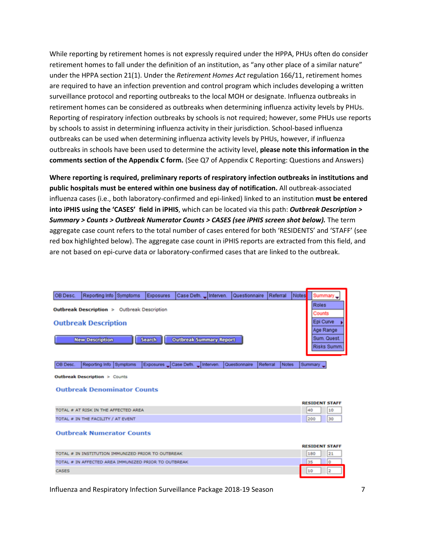While reporting by retirement homes is not expressly required under the HPPA, PHUs often do consider retirement homes to fall under the definition of an institution, as "any other place of a similar nature" under the HPPA section 21(1). Under the *Retirement Homes Act* regulation 166/11, retirement homes are required to have an infection prevention and control program which includes developing a written surveillance protocol and reporting outbreaks to the local MOH or designate. Influenza outbreaks in retirement homes can be considered as outbreaks when determining influenza activity levels by PHUs. Reporting of respiratory infection outbreaks by schools is not required; however, some PHUs use reports by schools to assist in determining influenza activity in their jurisdiction. School-based influenza outbreaks can be used when determining influenza activity levels by PHUs, however, if influenza outbreaks in schools have been used to determine the activity level, **please note this information in the comments section of the Appendix C form.** (See Q7 of Appendix C Reporting: Questions and Answers)

**Where reporting is required, preliminary reports of respiratory infection outbreaks in institutions and public hospitals must be entered within one business day of notification.** All outbreak-associated influenza cases (i.e., both laboratory-confirmed and epi-linked) linked to an institution **must be entered into iPHIS using the 'CASES' field in iPHIS**, which can be located via this path: *Outbreak Description > Summary > Counts > Outbreak Numerator Counts > CASES (see iPHIS screen shot below).* The term aggregate case count refers to the total number of cases entered for both 'RESIDENTS' and 'STAFF' (see red box highlighted below). The aggregate case count in iPHIS reports are extracted from this field, and are not based on epi-curve data or laboratory-confirmed cases that are linked to the outbreak.

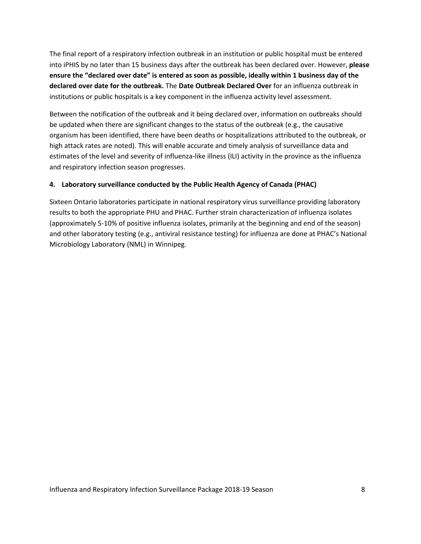The final report of a respiratory infection outbreak in an institution or public hospital must be entered into iPHIS by no later than 15 business days after the outbreak has been declared over. However, **please ensure the "declared over date" is entered as soon as possible, ideally within 1 business day of the declared over date for the outbreak.** The **Date Outbreak Declared Over** for an influenza outbreak in institutions or public hospitals is a key component in the influenza activity level assessment.

Between the notification of the outbreak and it being declared over, information on outbreaks should be updated when there are significant changes to the status of the outbreak (e.g., the causative organism has been identified, there have been deaths or hospitalizations attributed to the outbreak, or high attack rates are noted). This will enable accurate and timely analysis of surveillance data and estimates of the level and severity of influenza-like illness (ILI) activity in the province as the influenza and respiratory infection season progresses.

#### **4. Laboratory surveillance conducted by the Public Health Agency of Canada (PHAC)**

Sixteen Ontario laboratories participate in national respiratory virus surveillance providing laboratory results to both the appropriate PHU and PHAC. Further strain characterization of influenza isolates (approximately 5-10% of positive influenza isolates, primarily at the beginning and end of the season) and other laboratory testing (e.g., antiviral resistance testing) for influenza are done at PHAC's National Microbiology Laboratory (NML) in Winnipeg.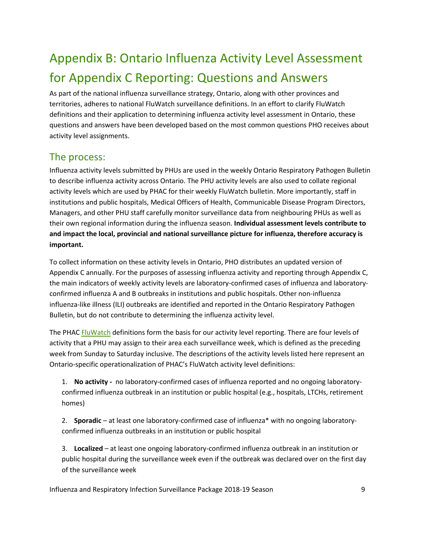# Appendix B: Ontario Influenza Activity Level Assessment for Appendix C Reporting: Questions and Answers

As part of the national influenza surveillance strategy, Ontario, along with other provinces and territories, adheres to national FluWatch surveillance definitions. In an effort to clarify FluWatch definitions and their application to determining influenza activity level assessment in Ontario, these questions and answers have been developed based on the most common questions PHO receives about activity level assignments.

## The process:

Influenza activity levels submitted by PHUs are used in the weekly Ontario Respiratory Pathogen Bulletin to describe influenza activity across Ontario. The PHU activity levels are also used to collate regional activity levels which are used by PHAC for their weekly FluWatch bulletin. More importantly, staff in institutions and public hospitals, Medical Officers of Health, Communicable Disease Program Directors, Managers, and other PHU staff carefully monitor surveillance data from neighbouring PHUs as well as their own regional information during the influenza season. **Individual assessment levels contribute to and impact the local, provincial and national surveillance picture for influenza, therefore accuracy is important.**

To collect information on these activity levels in Ontario, PHO distributes an updated version of Appendix C annually. For the purposes of assessing influenza activity and reporting through Appendix C, the main indicators of weekly activity levels are laboratory-confirmed cases of influenza and laboratoryconfirmed influenza A and B outbreaks in institutions and public hospitals. Other non-influenza influenza-like illness (ILI) outbreaks are identified and reported in the Ontario Respiratory Pathogen Bulletin, but do not contribute to determining the influenza activity level.

The PHA[C FluWatch](http://www.phac-aspc.gc.ca/fluwatch/index-eng.php) definitions form the basis for our activity level reporting. There are four levels of activity that a PHU may assign to their area each surveillance week, which is defined as the preceding week from Sunday to Saturday inclusive. The descriptions of the activity levels listed here represent an Ontario-specific operationalization of PHAC's FluWatch activity level definitions:

1. **No activity -** no laboratory-confirmed cases of influenza reported and no ongoing laboratoryconfirmed influenza outbreak in an institution or public hospital (e.g., hospitals, LTCHs, retirement homes)

2. **Sporadic** – at least one laboratory-confirmed case of influenza\* with no ongoing laboratoryconfirmed influenza outbreaks in an institution or public hospital

3. **Localized** – at least one ongoing laboratory-confirmed influenza outbreak in an institution or public hospital during the surveillance week even if the outbreak was declared over on the first day of the surveillance week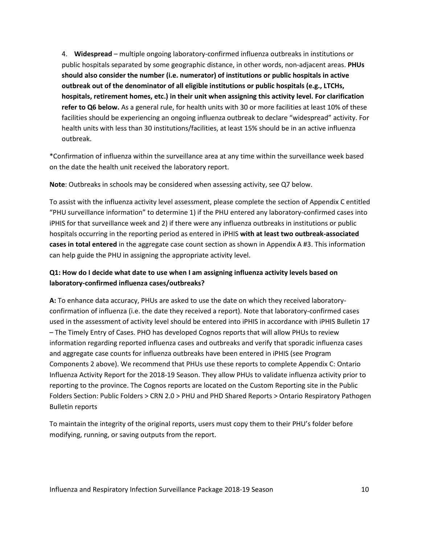4. **Widespread** – multiple ongoing laboratory-confirmed influenza outbreaks in institutions or public hospitals separated by some geographic distance, in other words, non-adjacent areas. **PHUs should also consider the number (i.e. numerator) of institutions or public hospitals in active outbreak out of the denominator of all eligible institutions or public hospitals (e.g., LTCHs, hospitals, retirement homes, etc.) in their unit when assigning this activity level. For clarification refer to Q6 below.** As a general rule, for health units with 30 or more facilities at least 10% of these facilities should be experiencing an ongoing influenza outbreak to declare "widespread" activity. For health units with less than 30 institutions/facilities, at least 15% should be in an active influenza outbreak.

\*Confirmation of influenza within the surveillance area at any time within the surveillance week based on the date the health unit received the laboratory report.

**Note**: Outbreaks in schools may be considered when assessing activity, see Q7 below.

To assist with the influenza activity level assessment, please complete the section of Appendix C entitled "PHU surveillance information" to determine 1) if the PHU entered any laboratory-confirmed cases into iPHIS for that surveillance week and 2) if there were any influenza outbreaks in institutions or public hospitals occurring in the reporting period as entered in iPHIS **with at least two outbreak-associated cases in total entered** in the aggregate case count section as shown in Appendix A #3. This information can help guide the PHU in assigning the appropriate activity level.

#### **Q1: How do I decide what date to use when I am assigning influenza activity levels based on laboratory-confirmed influenza cases/outbreaks?**

**A:** To enhance data accuracy, PHUs are asked to use the date on which they received laboratoryconfirmation of influenza (i.e. the date they received a report). Note that laboratory-confirmed cases used in the assessment of activity level should be entered into iPHIS in accordance with iPHIS Bulletin 17 – The Timely Entry of Cases. PHO has developed Cognos reports that will allow PHUs to review information regarding reported influenza cases and outbreaks and verify that sporadic influenza cases and aggregate case counts for influenza outbreaks have been entered in iPHIS (see Program Components 2 above). We recommend that PHUs use these reports to complete Appendix C: Ontario Influenza Activity Report for the 2018-19 Season. They allow PHUs to validate influenza activity prior to reporting to the province. The Cognos reports are located on the Custom Reporting site in the Public Folders Section: Public Folders > CRN 2.0 > PHU and PHD Shared Reports > Ontario Respiratory Pathogen Bulletin reports

To maintain the integrity of the original reports, users must copy them to their PHU's folder before modifying, running, or saving outputs from the report.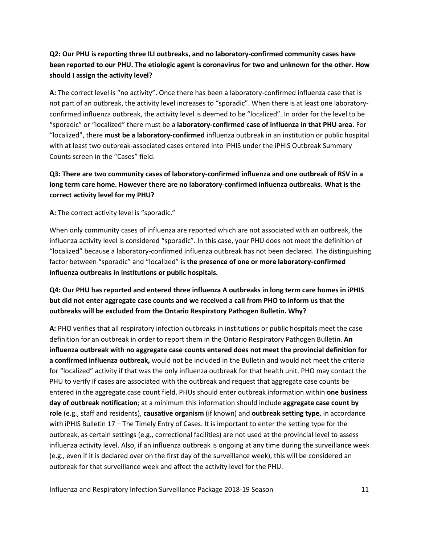#### **Q2: Our PHU is reporting three ILI outbreaks, and no laboratory-confirmed community cases have been reported to our PHU. The etiologic agent is coronavirus for two and unknown for the other. How should I assign the activity level?**

**A:** The correct level is "no activity". Once there has been a laboratory-confirmed influenza case that is not part of an outbreak, the activity level increases to "sporadic". When there is at least one laboratoryconfirmed influenza outbreak, the activity level is deemed to be "localized". In order for the level to be "sporadic" or "localized" there must be a **laboratory-confirmed case of influenza in that PHU area.** For "localized", there **must be a laboratory-confirmed** influenza outbreak in an institution or public hospital with at least two outbreak-associated cases entered into iPHIS under the iPHIS Outbreak Summary Counts screen in the "Cases" field.

#### **Q3: There are two community cases of laboratory-confirmed influenza and one outbreak of RSV in a long term care home. However there are no laboratory-confirmed influenza outbreaks. What is the correct activity level for my PHU?**

**A:** The correct activity level is "sporadic."

When only community cases of influenza are reported which are not associated with an outbreak, the influenza activity level is considered "sporadic". In this case, your PHU does not meet the definition of "localized" because a laboratory-confirmed influenza outbreak has not been declared. The distinguishing factor between "sporadic" and "localized" is **the presence of one or more laboratory-confirmed influenza outbreaks in institutions or public hospitals.**

#### **Q4: Our PHU has reported and entered three influenza A outbreaks in long term care homes in iPHIS but did not enter aggregate case counts and we received a call from PHO to inform us that the outbreaks will be excluded from the Ontario Respiratory Pathogen Bulletin. Why?**

**A:** PHO verifies that all respiratory infection outbreaks in institutions or public hospitals meet the case definition for an outbreak in order to report them in the Ontario Respiratory Pathogen Bulletin. **An influenza outbreak with no aggregate case counts entered does not meet the provincial definition for a confirmed influenza outbreak,** would not be included in the Bulletin and would not meet the criteria for "localized" activity if that was the only influenza outbreak for that health unit. PHO may contact the PHU to verify if cases are associated with the outbreak and request that aggregate case counts be entered in the aggregate case count field. PHUs should enter outbreak information within **one business day of outbreak notification**; at a minimum this information should include **aggregate case count by role** (e.g., staff and residents), **causative organism** (if known) and **outbreak setting type**, in accordance with iPHIS Bulletin 17 – The Timely Entry of Cases. It is important to enter the setting type for the outbreak, as certain settings (e.g., correctional facilities) are not used at the provincial level to assess influenza activity level. Also, if an influenza outbreak is ongoing at any time during the surveillance week (e.g., even if it is declared over on the first day of the surveillance week), this will be considered an outbreak for that surveillance week and affect the activity level for the PHU.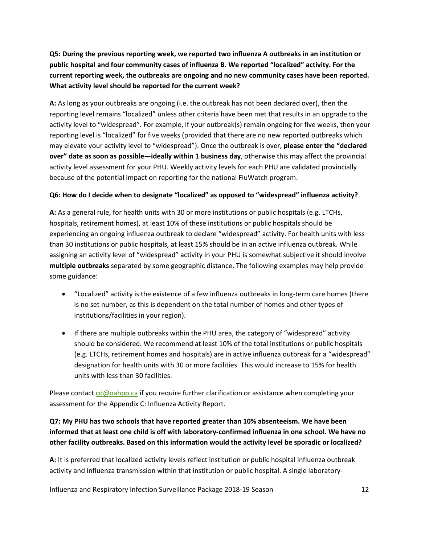**Q5: During the previous reporting week, we reported two influenza A outbreaks in an institution or public hospital and four community cases of influenza B. We reported "localized" activity. For the current reporting week, the outbreaks are ongoing and no new community cases have been reported. What activity level should be reported for the current week?**

**A:** As long as your outbreaks are ongoing (i.e. the outbreak has not been declared over), then the reporting level remains "localized" unless other criteria have been met that results in an upgrade to the activity level to "widespread". For example, if your outbreak(s) remain ongoing for five weeks, then your reporting level is "localized" for five weeks (provided that there are no new reported outbreaks which may elevate your activity level to "widespread"). Once the outbreak is over, **please enter the "declared over" date as soon as possible—ideally within 1 business day**, otherwise this may affect the provincial activity level assessment for your PHU. Weekly activity levels for each PHU are validated provincially because of the potential impact on reporting for the national FluWatch program.

#### **Q6: How do I decide when to designate "localized" as opposed to "widespread" influenza activity?**

**A:** As a general rule, for health units with 30 or more institutions or public hospitals (e.g. LTCHs, hospitals, retirement homes), at least 10% of these institutions or public hospitals should be experiencing an ongoing influenza outbreak to declare "widespread" activity. For health units with less than 30 institutions or public hospitals, at least 15% should be in an active influenza outbreak. While assigning an activity level of "widespread" activity in your PHU is somewhat subjective it should involve **multiple outbreaks** separated by some geographic distance. The following examples may help provide some guidance:

- "Localized" activity is the existence of a few influenza outbreaks in long-term care homes (there is no set number, as this is dependent on the total number of homes and other types of institutions/facilities in your region).
- If there are multiple outbreaks within the PHU area, the category of "widespread" activity should be considered. We recommend at least 10% of the total institutions or public hospitals (e.g. LTCHs, retirement homes and hospitals) are in active influenza outbreak for a "widespread" designation for health units with 30 or more facilities. This would increase to 15% for health units with less than 30 facilities.

Please contact  $cd@oahpp.ca$  if you require further clarification or assistance when completing your assessment for the Appendix C: Influenza Activity Report.

#### **Q7: My PHU has two schools that have reported greater than 10% absenteeism. We have been informed that at least one child is off with laboratory-confirmed influenza in one school. We have no other facility outbreaks. Based on this information would the activity level be sporadic or localized?**

**A:** It is preferred that localized activity levels reflect institution or public hospital influenza outbreak activity and influenza transmission within that institution or public hospital. A single laboratory-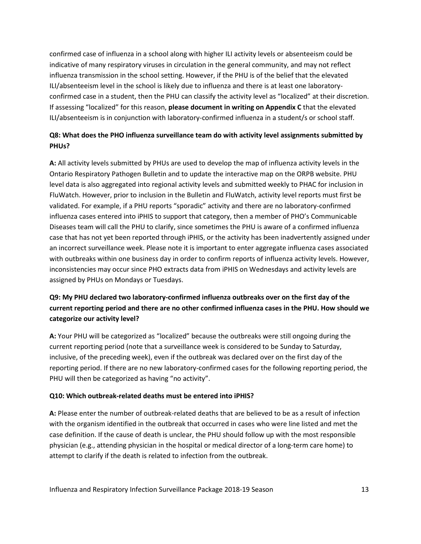confirmed case of influenza in a school along with higher ILI activity levels or absenteeism could be indicative of many respiratory viruses in circulation in the general community, and may not reflect influenza transmission in the school setting. However, if the PHU is of the belief that the elevated ILI/absenteeism level in the school is likely due to influenza and there is at least one laboratoryconfirmed case in a student, then the PHU can classify the activity level as "localized" at their discretion. If assessing "localized" for this reason, **please document in writing on Appendix C** that the elevated ILI/absenteeism is in conjunction with laboratory-confirmed influenza in a student/s or school staff.

#### **Q8: What does the PHO influenza surveillance team do with activity level assignments submitted by PHUs?**

**A:** All activity levels submitted by PHUs are used to develop the map of influenza activity levels in the Ontario Respiratory Pathogen Bulletin and to update the interactive map on the ORPB website. PHU level data is also aggregated into regional activity levels and submitted weekly to PHAC for inclusion in FluWatch. However, prior to inclusion in the Bulletin and FluWatch, activity level reports must first be validated. For example, if a PHU reports "sporadic" activity and there are no laboratory-confirmed influenza cases entered into iPHIS to support that category, then a member of PHO's Communicable Diseases team will call the PHU to clarify, since sometimes the PHU is aware of a confirmed influenza case that has not yet been reported through iPHIS, or the activity has been inadvertently assigned under an incorrect surveillance week. Please note it is important to enter aggregate influenza cases associated with outbreaks within one business day in order to confirm reports of influenza activity levels. However, inconsistencies may occur since PHO extracts data from iPHIS on Wednesdays and activity levels are assigned by PHUs on Mondays or Tuesdays.

#### **Q9: My PHU declared two laboratory-confirmed influenza outbreaks over on the first day of the current reporting period and there are no other confirmed influenza cases in the PHU. How should we categorize our activity level?**

**A:** Your PHU will be categorized as "localized" because the outbreaks were still ongoing during the current reporting period (note that a surveillance week is considered to be Sunday to Saturday, inclusive, of the preceding week), even if the outbreak was declared over on the first day of the reporting period. If there are no new laboratory-confirmed cases for the following reporting period, the PHU will then be categorized as having "no activity".

#### **Q10: Which outbreak-related deaths must be entered into iPHIS?**

**A:** Please enter the number of outbreak-related deaths that are believed to be as a result of infection with the organism identified in the outbreak that occurred in cases who were line listed and met the case definition. If the cause of death is unclear, the PHU should follow up with the most responsible physician (e.g., attending physician in the hospital or medical director of a long-term care home) to attempt to clarify if the death is related to infection from the outbreak.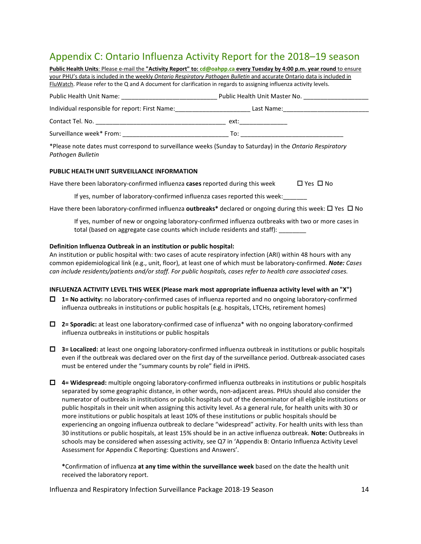## Appendix C: Ontario Influenza Activity Report for the 2018–19 season

| Public Health Units: Please e-mail the "Activity Report" to: cd@oahpp.ca every Tuesday by 4:00 p.m. year round to ensure                                                                                                       |                                                                                                                                                                                                                                |  |  |  |  |  |
|--------------------------------------------------------------------------------------------------------------------------------------------------------------------------------------------------------------------------------|--------------------------------------------------------------------------------------------------------------------------------------------------------------------------------------------------------------------------------|--|--|--|--|--|
| your PHU's data is included in the weekly Ontario Respiratory Pathogen Bulletin and accurate Ontario data is included in                                                                                                       |                                                                                                                                                                                                                                |  |  |  |  |  |
| FluWatch. Please refer to the Q and A document for clarification in regards to assigning influenza activity levels.                                                                                                            |                                                                                                                                                                                                                                |  |  |  |  |  |
|                                                                                                                                                                                                                                | Public Health Unit Name: Name: Name and Natural Public Health Unit Master No.                                                                                                                                                  |  |  |  |  |  |
| Individual responsible for report: First Name:                                                                                                                                                                                 | Last Name: _________________________                                                                                                                                                                                           |  |  |  |  |  |
| Contact Tel. No. <b>Example 20</b> Section 2014 12:30:30 No. 10:30:30 No. 10:30:30 No. 10:30:30 No. 10:30:30 No. 10:30:30                                                                                                      | ext: the contract of the contract of the contract of the contract of the contract of the contract of the contract of the contract of the contract of the contract of the contract of the contract of the contract of the contr |  |  |  |  |  |
| Surveillance week* From: Notified a state of the state of the state of the state of the state of the state of the state of the state of the state of the state of the state of the state of the state of the state of the stat | To:                                                                                                                                                                                                                            |  |  |  |  |  |

\*Please note dates must correspond to surveillance weeks (Sunday to Saturday) in the *Ontario Respiratory Pathogen Bulletin*

#### **PUBLIC HEALTH UNIT SURVEILLANCE INFORMATION**

Have there been laboratory-confirmed influenza **cases** reported during this week  $\Box$  Yes  $\Box$  No

If yes, number of laboratory-confirmed influenza cases reported this week:

Have there been laboratory-confirmed influenza **outbreaks\*** declared or ongoing during this week:  $\Box$  Yes  $\Box$  No

If yes, number of new or ongoing laboratory-confirmed influenza outbreaks with two or more cases in total (based on aggregate case counts which include residents and staff):

#### **Definition Influenza Outbreak in an institution or public hospital:**

An institution or public hospital with: two cases of acute respiratory infection (ARI) within 48 hours with any common epidemiological link (e.g., unit, floor), at least one of which must be laboratory-confirmed. *Note: Cases can include residents/patients and/or staff. For public hospitals, cases refer to health care associated cases.*

#### **INFLUENZA ACTIVITY LEVEL THIS WEEK (Please mark most appropriate influenza activity level with an "X")**

- **1= No activity:** no laboratory-confirmed cases of influenza reported and no ongoing laboratory-confirmed influenza outbreaks in institutions or public hospitals (e.g. hospitals, LTCHs, retirement homes)
- **2= Sporadic:** at least one laboratory-confirmed case of influenza\* with no ongoing laboratory-confirmed influenza outbreaks in institutions or public hospitals
- **3= Localized:** at least one ongoing laboratory-confirmed influenza outbreak in institutions or public hospitals even if the outbreak was declared over on the first day of the surveillance period. Outbreak-associated cases must be entered under the "summary counts by role" field in iPHIS.
- **4= Widespread:** multiple ongoing laboratory-confirmed influenza outbreaks in institutions or public hospitals separated by some geographic distance, in other words, non-adjacent areas. PHUs should also consider the numerator of outbreaks in institutions or public hospitals out of the denominator of all eligible institutions or public hospitals in their unit when assigning this activity level. As a general rule, for health units with 30 or more institutions or public hospitals at least 10% of these institutions or public hospitals should be experiencing an ongoing influenza outbreak to declare "widespread" activity. For health units with less than 30 institutions or public hospitals, at least 15% should be in an active influenza outbreak. **Note:** Outbreaks in schools may be considered when assessing activity, see Q7 in 'Appendix B: Ontario Influenza Activity Level Assessment for Appendix C Reporting: Questions and Answers'.

**\***Confirmation of influenza **at any time within the surveillance week** based on the date the health unit received the laboratory report.